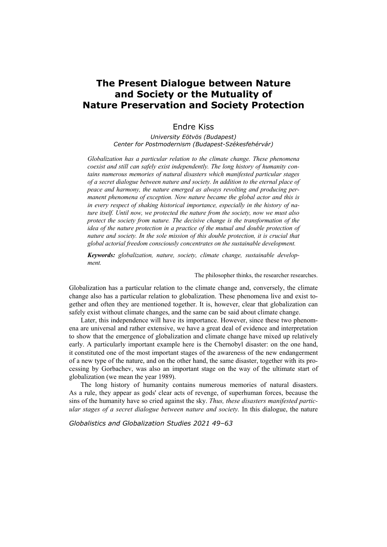## **The Present Dialogue between Nature and Society or the Mutuality of Nature Preservation and Society Protection**

## Endre Kiss

*University Eötvös (Budapest) Center for Postmodernism (Budapest-Székesfehérvár)* 

*Globalization has a particular relation to the climate change. These phenomena coexist and still can safely exist independently. The long history of humanity contains numerous memories of natural disasters which manifested particular stages of a secret dialogue between nature and society. In addition to the eternal place of peace and harmony, the nature emerged as always revolting and producing permanent phenomena of exception. Now nature became the global actor and this is in every respect of shaking historical importance, especially in the history of nature itself. Until now, we protected the nature from the society, now we must also protect the society from nature. The decisive change is the transformation of the idea of the nature protection in a practice of the mutual and double protection of nature and society. In the sole mission of this double protection, it is crucial that global actorial freedom consciously concentrates on the sustainable development.* 

*Keywords: globalization, nature, society, climate change, sustainable development.* 

The philosopher thinks, the researcher researches.

Globalization has a particular relation to the climate change and, conversely, the climate change also has a particular relation to globalization. These phenomena live and exist together and often they are mentioned together. It is, however, clear that globalization can safely exist without climate changes, and the same can be said about climate change.

Later, this independence will have its importance. However, since these two phenomena are universal and rather extensive, we have a great deal of evidence and interpretation to show that the emergence of globalization and climate change have mixed up relatively early. A particularly important example here is the Chernobyl disaster: on the one hand, it constituted one of the most important stages of the awareness of the new endangerment of a new type of the nature, and on the other hand, the same disaster, together with its processing by Gorbachev, was also an important stage on the way of the ultimate start of globalization (we mean the year 1989).

The long history of humanity contains numerous memories of natural disasters. As a rule, they appear as gods' clear acts of revenge, of superhuman forces, because the sins of the humanity have so cried against the sky. *Thus, these disasters manifested particular stages of a secret dialogue between nature and society.* In this dialogue, the nature

*Globalistics and Globalization Studies 2021 49–63*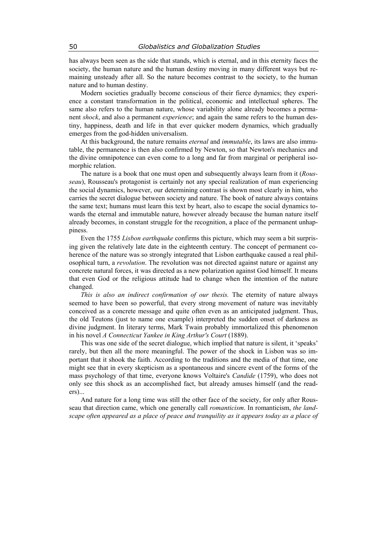has always been seen as the side that stands, which is eternal, and in this eternity faces the society, the human nature and the human destiny moving in many different ways but remaining unsteady after all. So the nature becomes contrast to the society, to the human nature and to human destiny.

Modern societies gradually become conscious of their fierce dynamics; they experience a constant transformation in the political, economic and intellectual spheres. The same also refers to the human nature, whose variability alone already becomes a permanent *shock*, and also a permanent *experience*; and again the same refers to the human destiny, happiness, death and life in that ever quicker modern dynamics, which gradually emerges from the god-hidden universalism.

At this background, the nature remains *eternal* and *immutable*, its laws are also immutable, the permanence is then also confirmed by Newton, so that Newton's mechanics and the divine omnipotence can even come to a long and far from marginal or peripheral isomorphic relation.

The nature is a book that one must open and subsequently always learn from it (*Rousseau*), Rousseau's protagonist is certainly not any special realization of man experiencing the social dynamics, however, our determining contrast is shown most clearly in him, who carries the secret dialogue between society and nature. The book of nature always contains the same text; humans must learn this text by heart, also to escape the social dynamics towards the eternal and immutable nature, however already because the human nature itself already becomes, in constant struggle for the recognition, a place of the permanent unhappiness.

Even the 1755 *Lisbon earthquake* confirms this picture, which may seem a bit surprising given the relatively late date in the eighteenth century. The concept of permanent coherence of the nature was so strongly integrated that Lisbon earthquake caused a real philosophical turn, a *revolution*. The revolution was not directed against nature or against any concrete natural forces, it was directed as a new polarization against God himself. It means that even God or the religious attitude had to change when the intention of the nature changed.

*This is also an indirect confirmation of our thesis.* The eternity of nature always seemed to have been so powerful, that every strong movement of nature was inevitably conceived as a concrete message and quite often even as an anticipated judgment. Thus, the old Teutons (just to name one example) interpreted the sudden onset of darkness as divine judgment. In literary terms, Mark Twain probably immortalized this phenomenon in his novel *A Connecticut Yankee in King Arthur's Court* (1889).

This was one side of the secret dialogue, which implied that nature is silent, it 'speaks' rarely, but then all the more meaningful. The power of the shock in Lisbon was so important that it shook the faith. According to the traditions and the media of that time, one might see that in every skepticism as a spontaneous and sincere event of the forms of the mass psychology of that time, everyone knows Voltaire's *Candide* (1759), who does not only see this shock as an accomplished fact, but already amuses himself (and the readers)...

And nature for a long time was still the other face of the society, for only after Rousseau that direction came, which one generally call *romanticism*. In romanticism, *the landscape often appeared as a place of peace and tranquility as it appears today as a place of*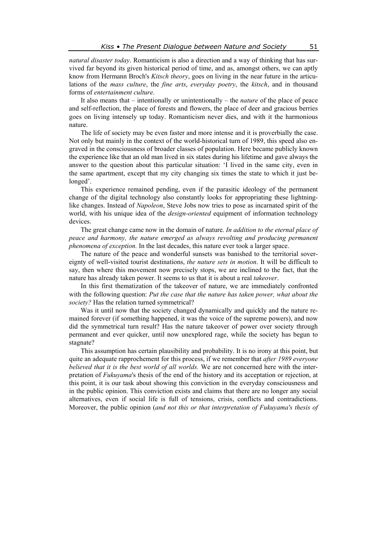*natural disaster today*. Romanticism is also a direction and a way of thinking that has survived far beyond its given historical period of time, and as, amongst others, we can aptly know from Hermann Broch's *Kitsch theory*, goes on living in the near future in the articulations of the *mass culture*, the *fine arts*, *everyday poetry*, the *kitsch*, and in thousand forms of *entertainment culture*.

It also means that – intentionally or unintentionally – the *nature* of the place of peace and self-reflection, the place of forests and flowers, the place of deer and gracious berries goes on living intensely up today. Romanticism never dies, and with it the harmonious nature.

The life of society may be even faster and more intense and it is proverbially the case. Not only but mainly in the context of the world-historical turn of 1989, this speed also engraved in the consciousness of broader classes of population. Here became publicly known the experience like that an old man lived in six states during his lifetime and gave always the answer to the question about this particular situation: 'I lived in the same city, even in the same apartment, except that my city changing six times the state to which it just belonged'.

This experience remained pending, even if the parasitic ideology of the permanent change of the digital technology also constantly looks for appropriating these lightninglike changes. Instead of *Napoleon*, Steve Jobs now tries to pose as incarnated spirit of the world, with his unique idea of the *design-oriented* equipment of information technology devices.

The great change came now in the domain of nature. *In addition to the eternal place of peace and harmony, the nature emerged as always revolting and producing permanent phenomena of exception.* In the last decades, this nature ever took a larger space.

The nature of the peace and wonderful sunsets was banished to the territorial sovereignty of well-visited tourist destinations, *the nature sets in motion*. It will be difficult to say, then where this movement now precisely stops, we are inclined to the fact, that the nature has already taken power. It seems to us that it is about a real *takeover*.

In this first thematization of the takeover of nature, we are immediately confronted with the following question: *Put the case that the nature has taken power, what about the society?* Has the relation turned symmetrical?

Was it until now that the society changed dynamically and quickly and the nature remained forever (if something happened, it was the voice of the supreme powers), and now did the symmetrical turn result? Has the nature takeover of power over society through permanent and ever quicker, until now unexplored rage, while the society has begun to stagnate?

This assumption has certain plausibility and probability. It is no irony at this point, but quite an adequate rapprochement for this process, if we remember that *after 1989 everyone believed that it is the best world of all worlds.* We are not concerned here with the interpretation of *Fukuyama*'s thesis of the end of the history and its acceptation or rejection, at this point, it is our task about showing this conviction in the everyday consciousness and in the public opinion. This conviction exists and claims that there are no longer any social alternatives, even if social life is full of tensions, crisis, conflicts and contradictions. Moreover, the public opinion (*and not this or that interpretation of Fukuyama's thesis of*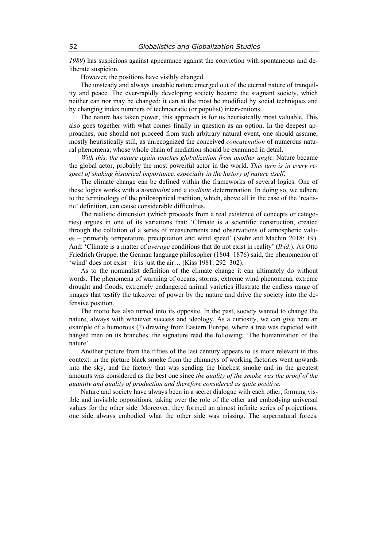*1989*) has suspicions against appearance against the conviction with spontaneous and deliberate suspicion.

However, the positions have visibly changed.

The unsteady and always unstable nature emerged out of the eternal nature of tranquility and peace. The ever-rapidly developing society became the stagnant society, which neither can nor may be changed; it can at the most be modified by social techniques and by changing index numbers of technocratic (or populist) interventions.

The nature has taken power, this approach is for us heuristically most valuable. This also goes together with what comes finally in question as an option. In the deepest approaches, one should not proceed from such arbitrary natural event, one should assume, mostly heuristically still, as unrecognized the conceived *concatenation* of numerous natural phenomena, whose whole chain of mediation should be examined in detail.

*With this, the nature again touches globalization from another angle.* Nature became the global actor, probably the most powerful actor in the world. *This turn is in every respect of shaking historical importance, especially in the history of nature itself*.

The climate change can be defined within the frameworks of several logics. One of these logics works with a *nominalist* and a *realistic* determination. In doing so, we adhere to the terminology of the philosophical tradition, which, above all in the case of the 'realistic' definition, can cause considerable difficulties.

The realistic dimension (which proceeds from a real existence of concepts or categories) argues in one of its variations that: 'Climate is a scientific construction, created through the collation of a series of measurements and observations of atmospheric values – primarily temperature, precipitation and wind speed' (Stehr and Machin 2018: 19). And: 'Climate is a matter of *average* conditions that do not exist in reality' (*Ibid*.). As Otto Friedrich Gruppe, the German language philosopher (1804–1876) said, the phenomenon of 'wind' does not exist – it is just the air… (Kiss 1981: 292–302).

As to the nominalist definition of the climate change it can ultimately do without words. The phenomena of warming of oceans, storms, extreme wind phenomena, extreme drought and floods, extremely endangered animal varieties illustrate the endless range of images that testify the takeover of power by the nature and drive the society into the defensive position.

The motto has also turned into its opposite. In the past, society wanted to change the nature, always with whatever success and ideology. As a curiosity, we can give here an example of a humorous (?) drawing from Eastern Europe, where a tree was depicted with hanged men on its branches, the signature read the following: 'The humanization of the nature'.

Another picture from the fifties of the last century appears to us more relevant in this context: in the picture black smoke from the chimneys of working factories went upwards into the sky, and the factory that was sending the blackest smoke and in the greatest amounts was considered as the best one since *the quality of the smoke was the proof of the quantity and quality of production and therefore considered as quite positive.* 

Nature and society have always been in a secret dialogue with each other, forming visible and invisible oppositions, taking over the role of the other and embodying universal values for the other side. Moreover, they formed an almost infinite series of projections; one side always embodied what the other side was missing. The supernatural forces,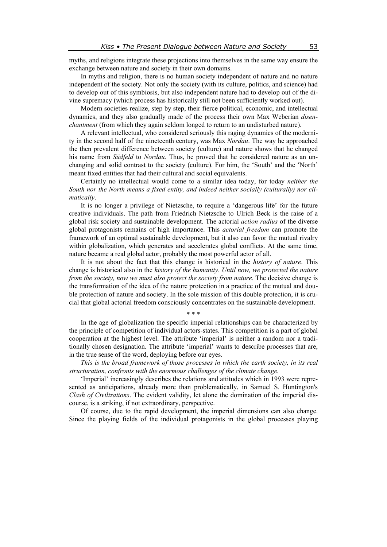myths, and religions integrate these projections into themselves in the same way ensure the exchange between nature and society in their own domains.

In myths and religion, there is no human society independent of nature and no nature independent of the society. Not only the society (with its culture, politics, and science) had to develop out of this symbiosis, but also independent nature had to develop out of the divine supremacy (which process has historically still not been sufficiently worked out).

Modern societies realize, step by step, their fierce political, economic, and intellectual dynamics, and they also gradually made of the process their own Max Weberian *disenchantment* (from which they again seldom longed to return to an undisturbed nature).

A relevant intellectual, who considered seriously this raging dynamics of the modernity in the second half of the nineteenth century, was Max *Nordau*. The way he approached the then prevalent difference between society (culture) and nature shows that he changed his name from *Südfeld* to *Nordau*. Thus, he proved that he considered nature as an unchanging and solid contrast to the society (culture). For him, the 'South' and the 'North' meant fixed entities that had their cultural and social equivalents.

Certainly no intellectual would come to a similar idea today, for today *neither the South nor the North means a fixed entity, and indeed neither socially (culturally) nor climatically*.

It is no longer a privilege of Nietzsche, to require a 'dangerous life' for the future creative individuals. The path from Friedrich Nietzsche to Ulrich Beck is the raise of a global risk society and sustainable development. The actorial *action radius* of the diverse global protagonists remains of high importance. This *actorial freedom* can promote the framework of an optimal sustainable development, but it also can favor the mutual rivalry within globalization, which generates and accelerates global conflicts. At the same time, nature became a real global actor, probably the most powerful actor of all.

It is not about the fact that this change is historical in the *history of nature*. This change is historical also in the *history of the humanity*. *Until now, we protected the nature from the society, now we must also protect the society from nature.* The decisive change is the transformation of the idea of the nature protection in a practice of the mutual and double protection of nature and society. In the sole mission of this double protection, it is crucial that global actorial freedom consciously concentrates on the sustainable development.

\* \* \*

In the age of globalization the specific imperial relationships can be characterized by the principle of competition of individual actors-states. This competition is a part of global cooperation at the highest level. The attribute 'imperial' is neither a random nor a traditionally chosen designation. The attribute 'imperial' wants to describe processes that are, in the true sense of the word, deploying before our eyes.

*This is the broad framework of those processes in which the earth society, in its real structuration, confronts with the enormous challenges of the climate change.* 

'Imperial' increasingly describes the relations and attitudes which in 1993 were represented as anticipations, already more than problematically, in Samuel S. Huntington's *Clash of Civilizations*. The evident validity, let alone the domination of the imperial discourse, is a striking, if not extraordinary, perspective.

Of course, due to the rapid development, the imperial dimensions can also change. Since the playing fields of the individual protagonists in the global processes playing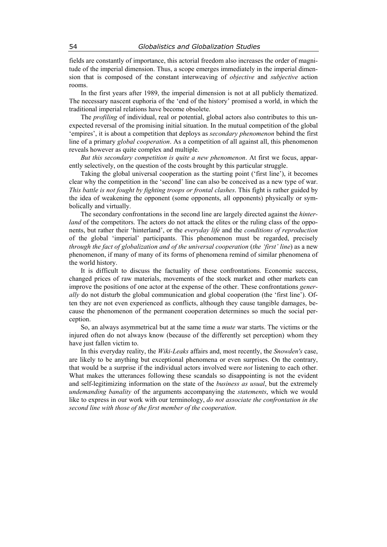fields are constantly of importance, this actorial freedom also increases the order of magnitude of the imperial dimension. Thus, a scope emerges immediately in the imperial dimension that is composed of the constant interweaving of *objective* and *subjective* action rooms.

In the first years after 1989, the imperial dimension is not at all publicly thematized. The necessary nascent euphoria of the 'end of the history' promised a world, in which the traditional imperial relations have become obsolete.

The *profiling* of individual, real or potential, global actors also contributes to this unexpected reversal of the promising initial situation. In the mutual competition of the global 'empires', it is about a competition that deploys as *secondary phenomenon* behind the first line of a primary *global cooperation*. As a competition of all against all, this phenomenon reveals however as quite complex and multiple.

*But this secondary competition is quite a new phenomenon*. At first we focus, apparently selectively, on the question of the costs brought by this particular struggle.

Taking the global universal cooperation as the starting point ('first line'), it becomes clear why the competition in the 'second' line can also be conceived as a new type of war. *This battle is not fought by fighting troops or frontal clashes*. This fight is rather guided by the idea of weakening the opponent (some opponents, all opponents) physically or symbolically and virtually.

The secondary confrontations in the second line are largely directed against the *hinterland* of the competitors. The actors do not attack the elites or the ruling class of the opponents, but rather their 'hinterland', or the *everyday life* and the *conditions of reproduction* of the global 'imperial' participants. This phenomenon must be regarded, precisely *through the fact of globalization and of the universal cooperation* (*the 'first' line*) as a new phenomenon, if many of many of its forms of phenomena remind of similar phenomena of the world history.

It is difficult to discuss the factuality of these confrontations. Economic success, changed prices of raw materials, movements of the stock market and other markets can improve the positions of one actor at the expense of the other. These confrontations *generally* do not disturb the global communication and global cooperation (the 'first line'). Often they are not even experienced as conflicts, although they cause tangible damages, because the phenomenon of the permanent cooperation determines so much the social perception.

So, an always asymmetrical but at the same time a *mute* war starts. The victims or the injured often do not always know (because of the differently set perception) whom they have just fallen victim to.

In this everyday reality, the *Wiki-Leaks* affairs and, most recently, the *Snowden's* case, are likely to be anything but exceptional phenomena or even surprises. On the contrary, that would be a surprise if the individual actors involved were *not* listening to each other. What makes the utterances following these scandals so disappointing is not the evident and self-legitimizing information on the state of the *business as usual*, but the extremely *undemanding banality* of the arguments accompanying the *statements*, which we would like to express in our work with our terminology, *do not associate the confrontation in the second line with those of the first member of the cooperation*.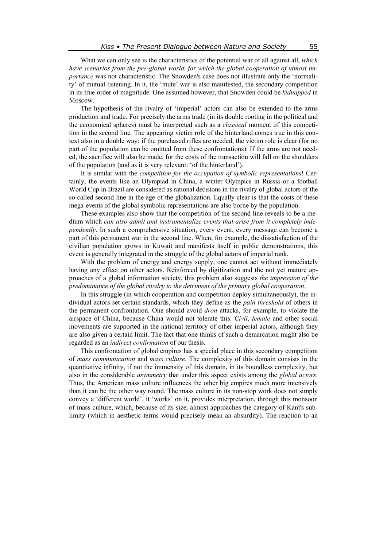What we can only see is the characteristics of the potential war of all against all, *which have scenarios from the pre-global world, for which the global cooperation of utmost importance* was not characteristic. The Snowden's case does not illustrate only the 'normality' of mutual listening. In it, the 'mute' war is also manifested, the secondary competition in its true order of magnitude. One assumed however, that Snowden could be *kidnapped* in Moscow.

The hypothesis of the rivalry of 'imperial' actors can also be extended to the arms production and trade. For precisely the arms trade (in its double rooting in the political and the economical spheres) must be interpreted such as a *classical* moment of this competition in the second line. The appearing victim role of the hinterland comes true in this context also in a double way: if the purchased rifles are needed, the victim role is clear (for no part of the population can be omitted from these confrontations). If the arms are not needed, the sacrifice will also be made, for the costs of the transaction will fall on the shoulders of the population (and as it is very relevant: 'of the hinterland').

It is similar with the *competition for the occupation of symbolic representations*! Certainly, the events like an Olympiad in China, a winter Olympics in Russia or a football World Cup in Brazil are considered as rational decisions in the rivalry of global actors of the so-called second line in the age of the globalization. Equally clear is that the costs of these mega-events of the global symbolic representations are also borne by the population.

These examples also show that the competition of the second line reveals to be a medium which *can also admit and instrumentalize events that arise from it completely independently*. In such a comprehensive situation, every event, every message can become a part of this permanent war in the second line. When, for example, the dissatisfaction of the civilian population grows in Kuwait and manifests itself in public demonstrations, this event is generally integrated in the struggle of the global actors of imperial rank.

With the problem of energy and energy supply, one cannot act without immediately having any effect on other actors. Reinforced by digitization and the not yet mature approaches of a global information society, this problem also suggests *the impression of the predominance of the global rivalry to the detriment of the primary global cooperation*.

In this struggle (in which cooperation and competition deploy simultaneously), the individual actors set certain standards, which they define as the *pain threshold* of others in the permanent confrontation. One should avoid *dron* attacks, for example, to violate the airspace of China, because China would not tolerate this. *Civil*, *female* and other social movements are supported in the national territory of other imperial actors, although they are also given a certain limit. The fact that one thinks of such a demarcation might also be regarded as an *indirect confirmation* of our thesis.

This confrontation of global empires has a special place in this secondary competition of *mass communication* and *mass culture*. The complexity of this domain consists in the quantitative infinity, if not the immensity of this domain, in its boundless complexity, but also in the considerable *asymmetry* that under this aspect exists among the *global actors*. Thus, the American mass culture influences the other big empires much more intensively than it can be the other way round. The mass culture in its non-stop work does not simply convey a 'different world', it 'works' on it, provides interpretation, through this monsoon of mass culture, which, because of its size, almost approaches the category of Kant's sublimity (which in aesthetic terms would precisely mean an absurdity). The reaction to an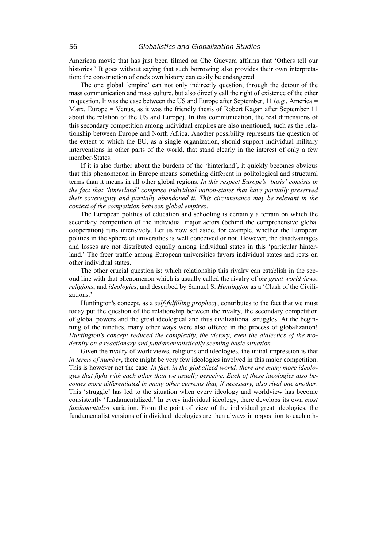American movie that has just been filmed on Che Guevara affirms that 'Others tell our histories.' It goes without saying that such borrowing also provides their own interpretation; the construction of one's own history can easily be endangered.

The one global 'empire' can not only indirectly question, through the detour of the mass communication and mass culture, but also directly call the right of existence of the other in question. It was the case between the US and Europe after September, 11 (*e.g.*, America = Marx, Europe  $=$  Venus, as it was the friendly thesis of Robert Kagan after September 11 about the relation of the US and Europe). In this communication, the real dimensions of this secondary competition among individual empires are also mentioned, such as the relationship between Europe and North Africa. Another possibility represents the question of the extent to which the EU, as a single organization, should support individual military interventions in other parts of the world, that stand clearly in the interest of only a few member-States.

If it is also further about the burdens of the 'hinterland', it quickly becomes obvious that this phenomenon in Europe means something different in politological and structural terms than it means in all other global regions. *In this respect Europe's 'basis' consists in the fact that 'hinterland' comprise individual nation-states that have partially preserved their sovereignty and partially abandoned it. This circumstance may be relevant in the context of the competition between global empires*.

The European politics of education and schooling is certainly a terrain on which the secondary competition of the individual major actors (behind the comprehensive global cooperation) runs intensively. Let us now set aside, for example, whether the European politics in the sphere of universities is well conceived or not. However, the disadvantages and losses are not distributed equally among individual states in this 'particular hinterland.' The freer traffic among European universities favors individual states and rests on other individual states.

The other crucial question is: which relationship this rivalry can establish in the second line with that phenomenon which is usually called the rivalry of *the great worldviews*, *religions*, and *ideologies*, and described by Samuel S. *Huntington* as a 'Clash of the Civilizations.'

Huntington's concept, as a *self-fulfilling prophecy*, contributes to the fact that we must today put the question of the relationship between the rivalry, the secondary competition of global powers and the great ideological and thus civilizational struggles. At the beginning of the nineties, many other ways were also offered in the process of globalization! *Huntington's concept reduced the complexity, the victory, even the dialectics of the modernity on a reactionary and fundamentalistically seeming basic situation.* 

Given the rivalry of worldviews, religions and ideologies, the initial impression is that *in terms of number*, there might be very few ideologies involved in this major competition. This is however not the case. *In fact, in the globalized world, there are many more ideologies that fight with each other than we usually perceive. Each of these ideologies also becomes more differentiated in many other currents that, if necessary, also rival one another*. This 'struggle' has led to the situation when every ideology and worldview has become consistently 'fundamentalized.' In every individual ideology, there develops its own *most fundamentalist* variation. From the point of view of the individual great ideologies, the fundamentalist versions of individual ideologies are then always in opposition to each oth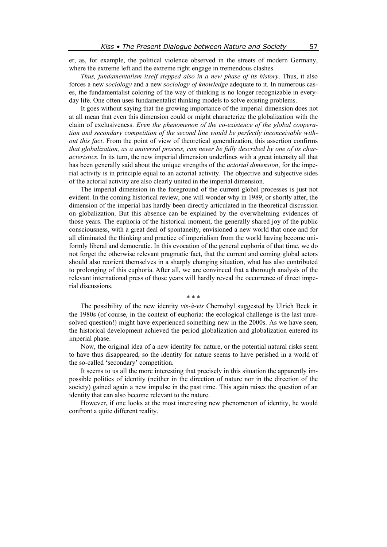er, as, for example, the political violence observed in the streets of modern Germany, where the extreme left and the extreme right engage in tremendous clashes.

*Thus, fundamentalism itself stepped also in a new phase of its history*. Thus, it also forces a new *sociology* and a new *sociology of knowledge* adequate to it. In numerous cases, the fundamentalist coloring of the way of thinking is no longer recognizable in everyday life. One often uses fundamentalist thinking models to solve existing problems.

It goes without saying that the growing importance of the imperial dimension does not at all mean that even this dimension could or might characterize the globalization with the claim of exclusiveness. *Even the phenomenon of the co-existence of the global cooperation and secondary competition of the second line would be perfectly inconceivable without this fact*. From the point of view of theoretical generalization, this assertion confirms *that globalization, as a universal process, can never be fully described by one of its characteristics.* In its turn, the new imperial dimension underlines with a great intensity all that has been generally said about the unique strengths of the *actorial dimension*, for the imperial activity is in principle equal to an actorial activity. The objective and subjective sides of the actorial activity are also clearly united in the imperial dimension.

The imperial dimension in the foreground of the current global processes is just not evident. In the coming historical review, one will wonder why in 1989, or shortly after, the dimension of the imperial has hardly been directly articulated in the theoretical discussion on globalization. But this absence can be explained by the overwhelming evidences of those years. The euphoria of the historical moment, the generally shared joy of the public consciousness, with a great deal of spontaneity, envisioned a new world that once and for all eliminated the thinking and practice of imperialism from the world having become uniformly liberal and democratic. In this evocation of the general euphoria of that time, we do not forget the otherwise relevant pragmatic fact, that the current and coming global actors should also reorient themselves in a sharply changing situation, what has also contributed to prolonging of this euphoria. After all, we are convinced that a thorough analysis of the relevant international press of those years will hardly reveal the occurrence of direct imperial discussions.

\* \* \*

The possibility of the new identity *vis-à-vis* Chernobyl suggested by Ulrich Beck in the 1980s (of course, in the context of euphoria: the ecological challenge is the last unresolved question!) might have experienced something new in the 2000s. As we have seen, the historical development achieved the period globalization and globalization entered its imperial phase.

Now, the original idea of a new identity for nature, or the potential natural risks seem to have thus disappeared, so the identity for nature seems to have perished in a world of the so-called 'secondary' competition.

It seems to us all the more interesting that precisely in this situation the apparently impossible politics of identity (neither in the direction of nature nor in the direction of the society) gained again a new impulse in the past time. This again raises the question of an identity that can also become relevant to the nature.

However, if one looks at the most interesting new phenomenon of identity, he would confront a quite different reality.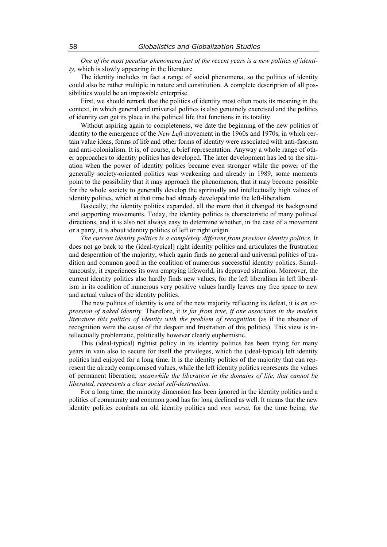*One of the most peculiar phenomena just of the recent years is a new politics of identity,* which is slowly appearing in the literature.

The identity includes in fact a range of social phenomena, so the politics of identity could also be rather multiple in nature and constitution. A complete description of all possibilities would be an impossible enterprise.

First, we should remark that the politics of identity most often roots its meaning in the context, in which general and universal politics is also genuinely exercised and the politics of identity can get its place in the political life that functions in its totality.

Without aspiring again to completeness, we date the beginning of the new politics of identity to the emergence of the *New Left* movement in the 1960s and 1970s, in which certain value ideas, forms of life and other forms of identity were associated with anti-fascism and anti-colonialism. It is, of course, a brief representation. Anyway a whole range of other approaches to identity politics has developed. The later development has led to the situation when the power of identity politics became even stronger while the power of the generally society-oriented politics was weakening and already in 1989, some moments point to the possibility that it may approach the phenomenon, that it may become possible for the whole society to generally develop the spiritually and intellectually high values of identity politics, which at that time had already developed into the left-liberalism.

Basically, the identity politics expanded, all the more that it changed its background and supporting movements. Today, the identity politics is characteristic of many political directions, and it is also not always easy to determine whether, in the case of a movement or a party, it is about identity politics of left or right origin.

*The current identity politics is a completely different from previous identity politics.* It does not go back to the (ideal-typical) right identity politics and articulates the frustration and desperation of the majority, which again finds no general and universal politics of tradition and common good in the coalition of numerous successful identity politics. Simultaneously, it experiences its own emptying lifeworld, its depraved situation. Moreover, the current identity politics also hardly finds new values, for the left liberalism in left liberalism in its coalition of numerous very positive values hardly leaves any free space to new and actual values of the identity politics.

The new politics of identity is one of the new majority reflecting its defeat, it is *an expression of naked identity.* Therefore, it *is far from true, if one associates in the modern literature this politics of identity with the problem of recognition* (as if the absence of recognition were the cause of the despair and frustration of this politics). This view is intellectually problematic, politically however clearly euphemistic.

This (ideal-typical) rightist policy in its identity politics has been trying for many years in vain also to secure for itself the privileges, which the (ideal-typical) left identity politics had enjoyed for a long time. It is the identity politics of the majority that can represent the already compromised values, while the left identity politics represents the values of permanent liberation; *meanwhile the liberation in the domains of life, that cannot be liberated, represents a clear social self-destruction.* 

For a long time, the minority dimension has been ignored in the identity politics and a politics of community and common good has for long declined as well. It means that the new identity politics combats an old identity politics and *vice versa*, for the time being, *the*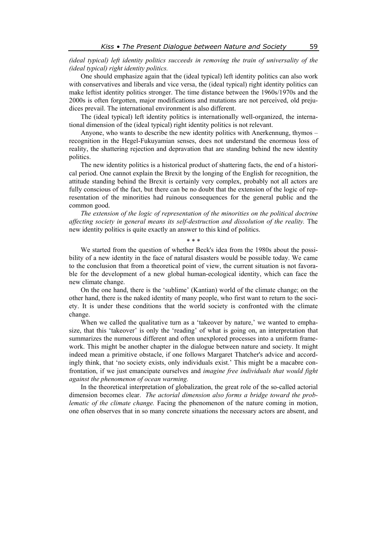*(ideal typical) left identity politics succeeds in removing the train of universality of the (ideal typical) right identity politics.* 

One should emphasize again that the (ideal typical) left identity politics can also work with conservatives and liberals and vice versa, the (ideal typical) right identity politics can make leftist identity politics stronger. The time distance between the 1960s/1970s and the 2000s is often forgotten, major modifications and mutations are not perceived, old prejudices prevail. The international environment is also different.

The (ideal typical) left identity politics is internationally well-organized, the international dimension of the (ideal typical) right identity politics is not relevant.

Anyone, who wants to describe the new identity politics with Anerkennung, thymos – recognition in the Hegel-Fukuyamian senses, does not understand the enormous loss of reality, the shattering rejection and depravation that are standing behind the new identity politics.

The new identity politics is a historical product of shattering facts, the end of a historical period. One cannot explain the Brexit by the longing of the English for recognition, the attitude standing behind the Brexit is certainly very complex, probably not all actors are fully conscious of the fact, but there can be no doubt that the extension of the logic of representation of the minorities had ruinous consequences for the general public and the common good.

*The extension of the logic of representation of the minorities on the political doctrine affecting society in general means its self-destruction and dissolution of the reality.* The new identity politics is quite exactly an answer to this kind of politics.

\* \* \*

We started from the question of whether Beck's idea from the 1980s about the possibility of a new identity in the face of natural disasters would be possible today. We came to the conclusion that from a theoretical point of view, the current situation is not favorable for the development of a new global human-ecological identity, which can face the new climate change.

On the one hand, there is the 'sublime' (Kantian) world of the climate change; on the other hand, there is the naked identity of many people, who first want to return to the society. It is under these conditions that the world society is confronted with the climate change.

When we called the qualitative turn as a 'takeover by nature,' we wanted to emphasize, that this 'takeover' is only the 'reading' of what is going on, an interpretation that summarizes the numerous different and often unexplored processes into a uniform framework. This might be another chapter in the dialogue between nature and society. It might indeed mean a primitive obstacle, if one follows Margaret Thatcher's advice and accordingly think, that 'no society exists, only individuals exist.' This might be a macabre confrontation, if we just emancipate ourselves and *imagine free individuals that would fight against the phenomenon of ocean warming.* 

In the theoretical interpretation of globalization, the great role of the so-called actorial dimension becomes clear. *The actorial dimension also forms a bridge toward the problematic of the climate change.* Facing the phenomenon of the nature coming in motion, one often observes that in so many concrete situations the necessary actors are absent, and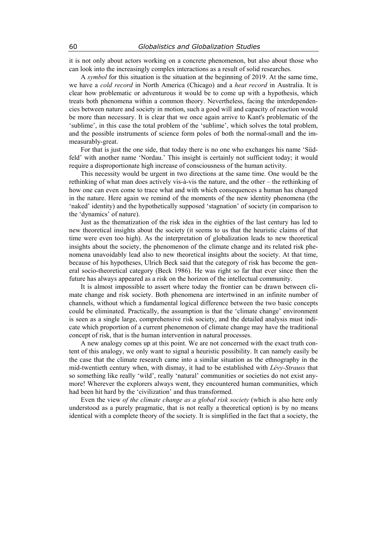it is not only about actors working on a concrete phenomenon, but also about those who can look into the increasingly complex interactions as a result of solid researches.

A *symbol* for this situation is the situation at the beginning of 2019. At the same time, we have a *cold record* in North America (Chicago) and a *heat record* in Australia. It is clear how problematic or adventurous it would be to come up with a hypothesis, which treats both phenomena within a common theory. Nevertheless, facing the interdependencies between nature and society in motion, such a good will and capacity of reaction would be more than necessary. It is clear that we once again arrive to Kant's problematic of the 'sublime', in this case the total problem of the 'sublime', which solves the total problem, and the possible instruments of science form poles of both the normal-small and the immeasurably-great.

For that is just the one side, that today there is no one who exchanges his name 'Südfeld' with another name 'Nordau.' This insight is certainly not sufficient today; it would require a disproportionate high increase of consciousness of the human activity.

This necessity would be urgent in two directions at the same time. One would be the rethinking of what man does actively vis-à-vis the nature, and the other – the rethinking of how one can even come to trace what and with which consequences a human has changed in the nature. Here again we remind of the moments of the new identity phenomena (the 'naked' identity) and the hypothetically supposed 'stagnation' of society (in comparison to the 'dynamics' of nature).

Just as the thematization of the risk idea in the eighties of the last century has led to new theoretical insights about the society (it seems to us that the heuristic claims of that time were even too high). As the interpretation of globalization leads to new theoretical insights about the society, the phenomenon of the climate change and its related risk phenomena unavoidably lead also to new theoretical insights about the society. At that time, because of his hypotheses, Ulrich Beck said that the category of risk has become the general socio-theoretical category (Beck 1986). He was right so far that ever since then the future has always appeared as a risk on the horizon of the intellectual community.

It is almost impossible to assert where today the frontier can be drawn between climate change and risk society. Both phenomena are intertwined in an infinite number of channels, without which a fundamental logical difference between the two basic concepts could be eliminated. Practically, the assumption is that the 'climate change' environment is seen as a single large, comprehensive risk society, and the detailed analysis must indicate which proportion of a current phenomenon of climate change may have the traditional concept of risk, that is the human intervention in natural processes.

A new analogy comes up at this point. We are not concerned with the exact truth content of this analogy, we only want to signal a heuristic possibility. It can namely easily be the case that the climate research came into a similar situation as the ethnography in the mid-twentieth century when, with dismay, it had to be established with *Lévy-Strauss* that so something like really 'wild', really 'natural' communities or societies do not exist anymore! Wherever the explorers always went, they encountered human communities, which had been hit hard by the 'civilization' and thus transformed.

Even the view *of the climate change as a global risk society* (which is also here only understood as a purely pragmatic, that is not really a theoretical option) is by no means identical with a complete theory of the society. It is simplified in the fact that a society, the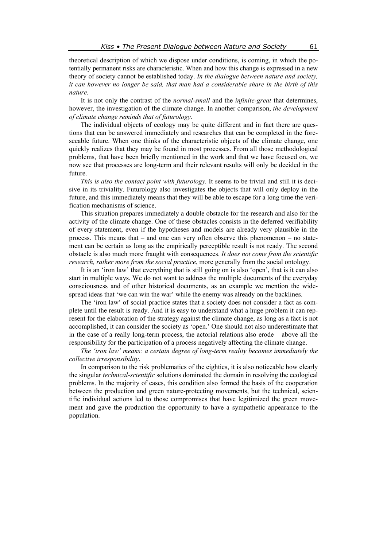theoretical description of which we dispose under conditions, is coming, in which the potentially permanent risks are characteristic. When and how this change is expressed in a new theory of society cannot be established today. *In the dialogue between nature and society, it can however no longer be said, that man had a considerable share in the birth of this nature.*

It is not only the contrast of the *normal-small* and the *infinite-great* that determines, however, the investigation of the climate change. In another comparison, *the development of climate change reminds that of futurology*.

The individual objects of ecology may be quite different and in fact there are questions that can be answered immediately and researches that can be completed in the foreseeable future. When one thinks of the characteristic objects of the climate change, one quickly realizes that they may be found in most processes. From all those methodological problems, that have been briefly mentioned in the work and that we have focused on, we now see that processes are long-term and their relevant results will only be decided in the future.

*This is also the contact point with futurology.* It seems to be trivial and still it is decisive in its triviality. Futurology also investigates the objects that will only deploy in the future, and this immediately means that they will be able to escape for a long time the verification mechanisms of science.

This situation prepares immediately a double obstacle for the research and also for the activity of the climate change. One of these obstacles consists in the deferred verifiability of every statement, even if the hypotheses and models are already very plausible in the process. This means that – and one can very often observe this phenomenon – no statement can be certain as long as the empirically perceptible result is not ready. The second obstacle is also much more fraught with consequences. *It does not come from the scientific research, rather more from the social practice*, more generally from the social ontology.

It is an 'iron law' that everything that is still going on is also 'open', that is it can also start in multiple ways. We do not want to address the multiple documents of the everyday consciousness and of other historical documents, as an example we mention the widespread ideas that 'we can win the war' while the enemy was already on the backlines.

The 'iron law' of social practice states that a society does not consider a fact as complete until the result is ready. And it is easy to understand what a huge problem it can represent for the elaboration of the strategy against the climate change, as long as a fact is not accomplished, it can consider the society as 'open.' One should not also underestimate that in the case of a really long-term process, the actorial relations also erode – above all the responsibility for the participation of a process negatively affecting the climate change.

*The 'iron law' means: a certain degree of long-term reality becomes immediately the collective irresponsibility*.

In comparison to the risk problematics of the eighties, it is also noticeable how clearly the singular *technical-scientific* solutions dominated the domain in resolving the ecological problems. In the majority of cases, this condition also formed the basis of the cooperation between the production and green nature-protecting movements, but the technical, scientific individual actions led to those compromises that have legitimized the green movement and gave the production the opportunity to have a sympathetic appearance to the population.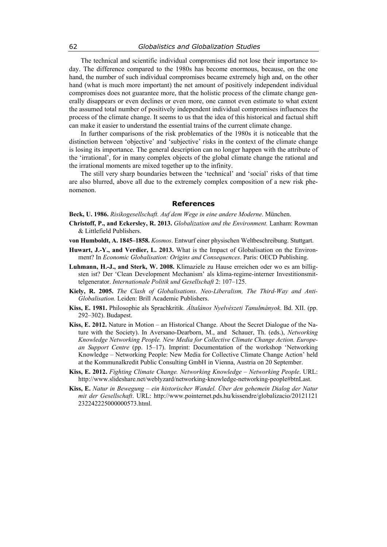The technical and scientific individual compromises did not lose their importance today. The difference compared to the 1980s has become enormous, because, on the one hand, the number of such individual compromises became extremely high and, on the other hand (what is much more important) the net amount of positively independent individual compromises does not guarantee more, that the holistic process of the climate change generally disappears or even declines or even more, one cannot even estimate to what extent the assumed total number of positively independent individual compromises influences the process of the climate change. It seems to us that the idea of this historical and factual shift can make it easier to understand the essential trains of the current climate change.

In further comparisons of the risk problematics of the 1980s it is noticeable that the distinction between 'objective' and 'subjective' risks in the context of the climate change is losing its importance. The general description can no longer happen with the attribute of the 'irrational', for in many complex objects of the global climate change the rational and the irrational moments are mixed together up to the infinity.

The still very sharp boundaries between the 'technical' and 'social' risks of that time are also blurred, above all due to the extremely complex composition of a new risk phenomenon.

## **References**

**Beck, U. 1986.** *Risikogesellschaft. Auf dem Wege in eine andere Moderne*. München.

- **Christoff, P., and Eckersley, R. 2013.** *Globalization and the Environment.* Lanham: Rowman & Littlefield Publishers.
- **von Humboldt, A. 1845–1858.** *Kosmos*. Entwurf einer physischen Weltbeschreibung. Stuttgart.
- **Huwart, J.-Y., and Verdier, L. 2013.** What is the Impact of Globalisation on the Environment? In *Economic Globalisation: Origins and Consequences*. Paris: OECD Publishing.
- **Luhmann, H.-J., and Sterk, W. 2008.** Klimaziele zu Hause erreichen oder wo es am billigsten ist? Der 'Clean Development Mechanism' als klima-regime-interner Investitionsmittelgenerator. *Internationale Politik und Gesellschaft* 2: 107–125.
- **Kiely, R. 2005.** *The Clash of Globalisations*. *Neo-Liberalism, The Third-Way and Anti-Globalisation.* Leiden: Brill Academic Publishers.
- **Kiss, E. 1981.** Philosophie als Sprachkritik. *Általános Nyelvészeti Tanulmányok*. Bd. XII. (pp. 292–302). Budapest.
- **Kiss, E. 2012.** Nature in Motion an Historical Change. About the Secret Dialogue of the Nature with the Society). In Aversano-Dearborn, M., and Schauer, Th. (eds.), *Networking Knowledge Networking People. New Media for Collective Climate Change Action. European Support Centre* (pp. 15–17). Imprint: Documentation of the workshop 'Networking Knowledge – Networking People: New Media for Collective Climate Change Action' held at the Kommunalkredit Public Consulting GmbH in Vienna, Austria on 20 September.
- **Kiss, E. 2012.** *Fighting Climate Change. Networking Knowledge Networking People*. URL: http://www.slideshare.net/weblyzard/networking-knowledge-networking-people#btnLast.
- **Kiss, E.** *Natur in Bewegung ein historischer Wandel. Über den gehemein Dialog der Natur mit der Gesellschaft*. URL: http://www.pointernet.pds.hu/kissendre/globalizacio/20121121 232242225000000573.html.